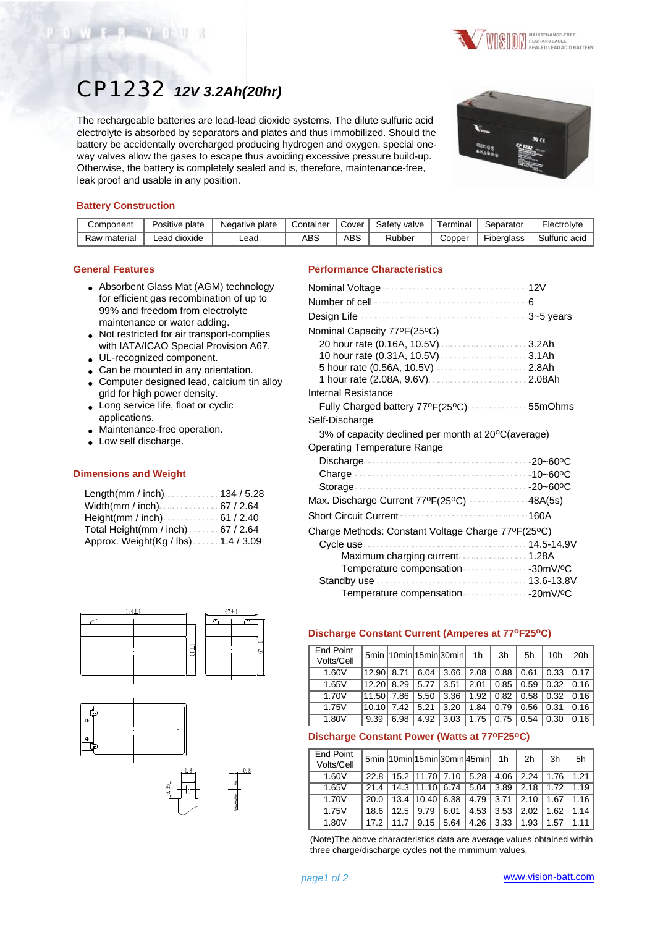

# CP1232 *12V 3.2Ah(20hr)*

The rechargeable batteries are lead-lead dioxide systems. The dilute sulfuric acid electrolyte is absorbed by separators and plates and thus immobilized. Should the battery be accidentally overcharged producing hydrogen and oxygen, special oneway valves allow the gases to escape thus avoiding excessive pressure build-up. Otherwise, the battery is completely sealed and is, therefore, maintenance-free, leak proof and usable in any position.



# **Battery Construction**

| Component    | Positive plate  | Negative plate | Container | Cover | Safety valve | Terminal | Separator  | Electrolyte   |
|--------------|-----------------|----------------|-----------|-------|--------------|----------|------------|---------------|
| Raw material | dioxide<br>.ead | _ead           | ABS       | ABS   | Rubber       | Copper   | Fiberalass | Sulfuric acid |

#### **General Features**

- Absorbent Glass Mat (AGM) technology for efficient gas recombination of up to 99% and freedom from electrolyte maintenance or water adding.
- Not restricted for air transport-complies with IATA/ICAO Special Provision A67.
- UL-recognized component.
- Can be mounted in any orientation.
- Computer designed lead, calcium tin alloy grid for high power density.
- Long service life, float or cyclic applications.
- Maintenance-free operation.
- Low self discharge.

## **Dimensions and Weight**

| Length(mm / inch)134 / 5.28          |  |
|--------------------------------------|--|
| Width(mm / inch) 67 / 2.64           |  |
|                                      |  |
| Total Height(mm / inch). $67 / 2.64$ |  |
| Approx. Weight(Kg / lbs) 1.4 / 3.09  |  |







# **Performance Characteristics**

| Nominal Voltage 12V                                |
|----------------------------------------------------|
|                                                    |
|                                                    |
| Nominal Capacity 77ºF(25ºC)                        |
|                                                    |
|                                                    |
| 5 hour rate (0.56A, 10.5V)  2.8Ah                  |
|                                                    |
| Internal Resistance                                |
| Fully Charged battery 77ºF(25ºC)  55mOhms          |
| Self-Discharge                                     |
| 3% of capacity declined per month at 20°C(average) |
| <b>Operating Temperature Range</b>                 |
|                                                    |
|                                                    |
|                                                    |
| Max. Discharge Current 77ºF(25ºC)  48A(5s)         |
| <b>Short Circuit Current</b><br>160A               |
| Charge Methods: Constant Voltage Charge 77ºF(25ºC) |
|                                                    |
| Maximum charging current 1.28A                     |
| Temperature compensation 30mV/ºC                   |
|                                                    |
|                                                    |

# **Discharge Constant Current (Amperes at 77oF25oC)**

| <b>End Point</b><br>Volts/Cell |            |      |      | 5min 10min 15min 30min 1h |      | 3h   | 5h   | 10h  | 20h  |
|--------------------------------|------------|------|------|---------------------------|------|------|------|------|------|
| 1.60V                          | 12.9018.71 |      | 6.04 | 3.66                      | 2.08 | 0.88 | 0.61 | 0.33 | 0.17 |
| 1.65V                          | 12.201     | 8.29 | 5.77 | 3.51                      | 2.01 | 0.85 | 0.59 | 0.32 | 0.16 |
| 1.70V                          | 11.501     | 7.86 | 5.50 | 3.36                      | 1.92 | 0.82 | 0.58 | 0.32 | 0.16 |
| 1.75V                          | 10.101     | 7.42 | 5.21 | 3.20                      | 1.84 | 0.79 | 0.56 | 0.31 | 0.16 |
| 1.80V                          | 9.39       | 6.98 | 4.92 | 3.03                      | 1.75 | 0.75 | 0.54 | 0.30 | 0.16 |

## **Discharge Constant Power (Watts at 77oF25oC)**

| <b>End Point</b><br>Volts/Cell |      |      |       |                      | 5min 10min 15min 30min 45min 1h |      | 2 <sub>h</sub> | 3h   | 5h   |
|--------------------------------|------|------|-------|----------------------|---------------------------------|------|----------------|------|------|
| 1.60V                          | 22.8 |      |       | 15.2 11.70 7.10 5.28 |                                 | 4.06 | 2.24           | 1.76 | 1.21 |
| 1.65V                          | 21.4 | 14.3 | 11.10 | 6.74                 | 5.04                            | 3.89 | 2.18           | 1.72 | 1.19 |
| 1.70V                          | 20.0 | 13.4 | 10.40 | 6.38                 | 4.79                            | 3.71 | 2.10           | 1.67 | 1.16 |
| 1.75V                          | 18.6 | 12.5 | 9.79  | 6.01                 | 4.53                            | 3.53 | 2.02           | 1.62 | 1.14 |
| 1.80V                          | 17.2 |      | 9.15  | 5.64                 | 4.26                            | 3.33 | 1.93           | 1.57 | 1.11 |

(Note)The above characteristics data are average values obtained within three charge/discharge cycles not the mimimum values.